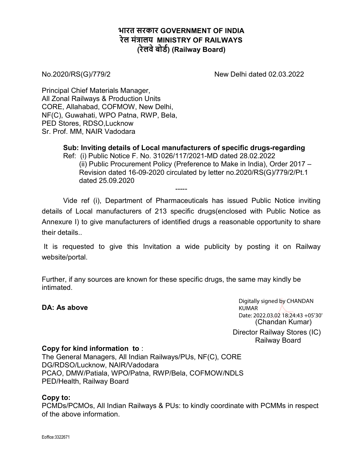## भारत सरकार GOVERNMENT OF INDIA रेल मंत्रालय MINISTRY OF RAILWAYS (रेलवे बोर्ड) (Railway Board)

No.2020/RS(G)/779/2 New Delhi dated 02.03.2022

Principal Chief Materials Manager, All Zonal Railways & Production Units CORE, Allahabad, COFMOW, New Delhi, NF(C), Guwahati, WPO Patna, RWP, Bela, PED Stores, RDSO,Lucknow Sr. Prof. MM, NAIR Vadodara

> Sub: Inviting details of Local manufacturers of specific drugs-regarding Ref: (i) Public Notice F. No. 31026/117/2021-MD dated 28.02.2022 (ii) Public Procurement Policy (Preference to Make in India), Order 2017 – Revision dated 16-09-2020 circulated by letter no.2020/RS(G)/779/2/Pt.1 dated 25.09.2020

Vide ref (i), Department of Pharmaceuticals has issued Public Notice inviting details of Local manufacturers of 213 specific drugs(enclosed with Public Notice as Annexure I) to give manufacturers of identified drugs a reasonable opportunity to share their details..

-----

 It is requested to give this Invitation a wide publicity by posting it on Railway website/portal.

Further, if any sources are known for these specific drugs, the same may kindly be intimated.

## DA: As above

 (Chandan Kumar) Digitally signed by CHANDAN KUMAR Date: 2022.03.02 18:24:43 +05'30'

Director Railway Stores (IC) Railway Board

## Copy for kind information to :

The General Managers, All Indian Railways/PUs, NF(C), CORE DG/RDSO/Lucknow, NAIR/Vadodara PCAO, DMW/Patiala, WPO/Patna, RWP/Bela, COFMOW/NDLS PED/Health, Railway Board

## Copy to:

PCMDs/PCMOs, All Indian Railways & PUs: to kindly coordinate with PCMMs in respect of the above information.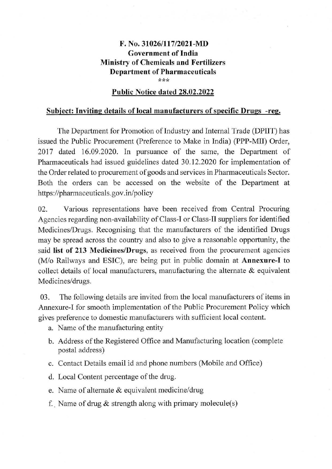## **F. No. 31026/117/2021-MD Government of India Ministry of Chemicals and Fertilizers Department of Pharmaceuticals**  \*\*\*

#### **Public Notice dated 28.02.2022**

#### **Subject: Inviting details of local manufacturers of specific Drugs -reg.**

The Department for Promotion of Industry and Internal Trade (DPIIT) has issued the Public Procurement (Preference to Make in India) (PPP-Mil) Order, 2017 dated 16.09.2020. In pursuance of the same, the Department of Pharmaceuticals had issued guidelines dated 30.12.2020 for implementation of the Order related to procurement of goods and services in Pharmaceuticals Sector. Both the orders can be accessed on the website of the Department at https://pharmaceuticals.gov.in/policy

02. Various representations have been received from Central Procuring Agencies regarding non-availability of Class-I or Class-II suppliers for identified Medicines/Drugs. Recognising that the manufacturers of the identified Drugs may be spread across the country and also to give a reasonable opportunity, the said **list of 213 Medicines/Drugs,** as received from the procurement agencies (M/o Railways and ESIC), are being put in public domain at **Annexure-1** to collect details of local manufacturers, manufacturing the alternate  $\&$  equivalent Medicines/drugs.

03. The following details are invited from the local manufacturers of items in Annexure-I for smooth implementation of the Public Procurement Policy which gives preference to domestic manufacturers with sufficient local content.

- a. Name of the manufacturing entity
- b. Address of the Registered Office and Manufacturing location ( complete postal address)
- c. Contact Details email id and phone numbers (Mobile and Office)
- d. Local Content percentage of the drug.
- e. Name of alternate & equivalent medicine/drug
- f. Name of drug  $&$  strength along with primary molecule(s)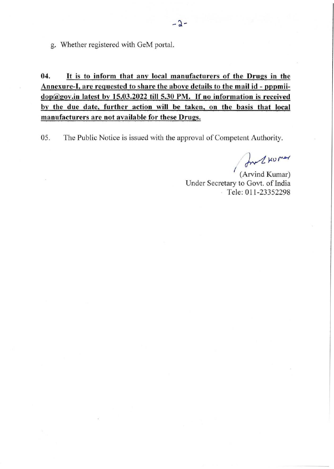g. Whether registered with GeM portal.

**04.** It **is to inform that any local manufacturers of the Drugs in the**  Annexure-I, are requested to share the above details to the mail id - pppmii**dop@gov.in latest by 15.03.2022 till 5.30 PM.** If **no information is received by the due date, further action will be taken, on the basis that local manufacturers are not available for these Drugs.** 

05. The Public Notice is issued with the approval of Competent Authority.

In 2 kumar

*I* (Arvind Kumar) Under Secretary to Govt. of India Tele: 011 -23352298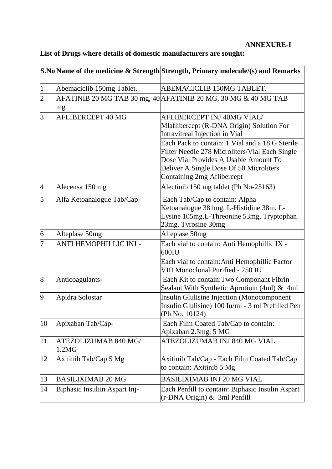## **ANNEXURE-I**

|                |                               | S.No Name of the medicine & Strength Strength, Primary molecule/(s) and Remarks                                                                                         |
|----------------|-------------------------------|-------------------------------------------------------------------------------------------------------------------------------------------------------------------------|
| 1              | Abemaciclib 150mg Tablet.     | ABEMACICLIB 150MG TABLET.                                                                                                                                               |
| $ 2\rangle$    | mg                            | AFATINIB 20 MG TAB 30 mg, 40 AFATINIB 20 MG, 30 MG & 40 MG TAB                                                                                                          |
| $\overline{3}$ | <b>AFLIBERCEPT 40 MG</b>      | AFLIBERCEPT INJ 40MG VIAL/<br>Mlaflibercept (R-DNA Origin) Solution For<br>Intravitreal Injection in Vial<br>Each Pack to contain: 1 Vial and a 18 G Sterile            |
|                |                               | Filter Needle 278 Microliters/Vial Each Single<br>Dose Vial Provides A Usable Amount To<br>Deliver A Single Dose Of 50 Microliters<br><b>Containing 2mg Aflibercept</b> |
| $\overline{4}$ | Alecensa 150 mg               | Alectinib 150 mg tablet (Ph No-25163)                                                                                                                                   |
| 5              | Alfa Ketoanalogue Tab/Cap-    | Each Tab/Cap to contain: Alpha<br>Ketoanalogue 381mg, L-Histidine 38m, L-<br>Lysine 105mg, L-Threonine 53mg, Tryptophan<br>23mg, Tyrosine 30mg                          |
| 6              | Alteplase 50mg                | Alteplase 50mg                                                                                                                                                          |
| 7              | <b>ANTI HEMOPHILLIC INJ -</b> | Each vial to contain: Anti Hemophillic IX -<br>$600$ IU                                                                                                                 |
|                |                               | Each vial to contain: Anti Hemophillic Factor<br>VIII Monoclonal Purified - 250 IU                                                                                      |
| 8              | Anticoagulants-               | Each Kit to contain: Two Componant Fibrin<br>Sealant With Synthetic Aprotinin (4ml) & 4ml                                                                               |
| $\overline{9}$ | Apidra Solostar               | <b>Insulin Glulisine Injection (Monocomponent</b><br>Insulin Glulisine) 100 Iu/ml - 3 ml Prefilled Pen<br>(Ph No. 10124)                                                |
| 10             | Apixaban Tab/Cap-             | Each Film Coated Tab/Cap to contain:<br>Apixaban 2.5mg, 5 MG                                                                                                            |
| 11             | ATEZOLIZUMAB 840 MG/<br>1.2MG | ATEZOLIZUMAB INJ 840 MG VIAL                                                                                                                                            |
| 12             | Axitinib Tab/Cap 5 Mg         | Axitinib Tab/Cap - Each Film Coated Tab/Cap<br>to contain: Axitinib 5 Mg                                                                                                |
| 13             | <b>BASILIXIMAB 20 MG</b>      | <b>BASILIXIMAB INJ 20 MG VIAL</b>                                                                                                                                       |
| 14             | Biphasic Insuliin Aspart Inj- | Each Penfill to contain: Biphasic Insulin Aspart<br>$(r\text{-DNA Origin})$ & 3ml Penfill                                                                               |

# **List of Drugs where details of domestic manufacturers are sought:**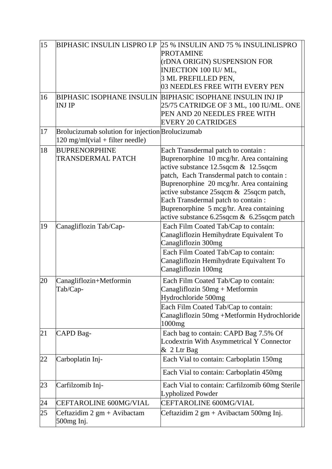| 15<br>16 | <b>BIPHASIC INSULIN LISPRO I.P</b><br><b>INJ IP</b>                                            | 25 % INSULIN AND 75 % INSULINLISPRO<br><b>PROTAMINE</b><br>(rDNA ORIGIN) SUSPENSION FOR<br>INJECTION 100 IU/ML,<br>3 ML PREFILLED PEN,<br>03 NEEDLES FREE WITH EVERY PEN<br><b>BIPHASIC ISOPHANE INSULIN BIPHASIC ISOPHANE INSULIN INJ IP</b><br>25/75 CATRIDGE OF 3 ML, 100 IU/ML. ONE<br>PEN AND 20 NEEDLES FREE WITH                                                                          |
|----------|------------------------------------------------------------------------------------------------|--------------------------------------------------------------------------------------------------------------------------------------------------------------------------------------------------------------------------------------------------------------------------------------------------------------------------------------------------------------------------------------------------|
|          |                                                                                                | <b>EVERY 20 CATRIDGES</b>                                                                                                                                                                                                                                                                                                                                                                        |
| 17       | Brolucizumab solution for injection Brolucizumab<br>$120 \text{ mg/ml}$ (vial + filter needle) |                                                                                                                                                                                                                                                                                                                                                                                                  |
| 18       | <b>BUPRENORPHINE</b><br><b>TRANSDERMAL PATCH</b>                                               | Each Transdermal patch to contain :<br>Buprenorphine 10 mcg/hr. Area containing<br>active substance 12.5sqcm & 12.5sqcm<br>patch, Each Transdermal patch to contain :<br>Buprenorphine 20 mcg/hr. Area containing<br>active substance 25 sqcm & 25 sqcm patch,<br>Each Transdermal patch to contain :<br>Buprenorphine 5 mcg/hr. Area containing<br>active substance 6.25 sqcm & 6.25 sqcm patch |
| 19       | Canagliflozin Tab/Cap-                                                                         | Each Film Coated Tab/Cap to contain:<br>Canagliflozin Hemihydrate Equivalent To<br>Canagliflozin 300mg<br>Each Film Coated Tab/Cap to contain:                                                                                                                                                                                                                                                   |
|          |                                                                                                | Canagliflozin Hemihydrate Equivaltent To<br>Canagliflozin 100mg                                                                                                                                                                                                                                                                                                                                  |
| 20       | Canagliflozin+Metformin<br>Tab/Cap-                                                            | Each Film Coated Tab/Cap to contain:<br>Canagliflozin 50mg + Metformin<br>Hydrochloride 500mg                                                                                                                                                                                                                                                                                                    |
|          |                                                                                                | Each Film Coated Tab/Cap to contain:<br>Canagliflozin 50mg +Metformin Hydrochloride<br>1000mg                                                                                                                                                                                                                                                                                                    |
| 21       | CAPD Bag-                                                                                      | Each bag to contain: CAPD Bag 7.5% Of<br>Lcodextrin With Asymmetrical Y Connector<br>& 2 Ltr Bag                                                                                                                                                                                                                                                                                                 |
| 22       | Carboplatin Inj-                                                                               | Each Vial to contain: Carboplatin 150mg                                                                                                                                                                                                                                                                                                                                                          |
|          |                                                                                                | Each Vial to contain: Carboplatin 450mg                                                                                                                                                                                                                                                                                                                                                          |
| 23       | Carfilzomib Inj-                                                                               | Each Vial to contain: Carfilzomib 60mg Sterile<br><b>Lypholized Powder</b>                                                                                                                                                                                                                                                                                                                       |
| 24       | <b>CEFTAROLINE 600MG/VIAL</b>                                                                  | CEFTAROLINE 600MG/VIAL                                                                                                                                                                                                                                                                                                                                                                           |
| 25       | Ceftazidim $2 \text{ gm} + \text{Avibactam}$<br>500mg Inj.                                     | Ceftazidim $2 \text{ gm} + \text{Avibactam} 500 \text{mg Inj.}$                                                                                                                                                                                                                                                                                                                                  |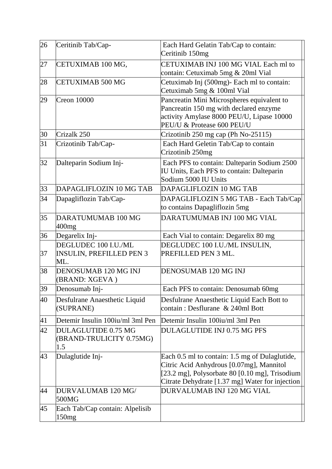| 26 | Ceritinib Tab/Cap-                                             | Each Hard Gelatin Tab/Cap to contain:<br>Ceritinib 150mg                                                                                                                                        |
|----|----------------------------------------------------------------|-------------------------------------------------------------------------------------------------------------------------------------------------------------------------------------------------|
| 27 | CETUXIMAB 100 MG,                                              | CETUXIMAB INJ 100 MG VIAL Each ml to<br>contain: Cetuximab 5mg & 20ml Vial                                                                                                                      |
| 28 | <b>CETUXIMAB 500 MG</b>                                        | Cetuximab Inj (500mg)- Each ml to contain:<br>Cetuximab 5mg & 100ml Vial                                                                                                                        |
| 29 | <b>Creon 10000</b>                                             | Pancreatin Mini Microspheres equivalent to<br>Pancreatin 150 mg with declared enzyme<br>activity Amylase 8000 PEU/U, Lipase 10000<br>PEU/U & Protease 600 PEU/U                                 |
| 30 | Crizalk 250                                                    | Crizotinib 250 mg cap (Ph No-25115)                                                                                                                                                             |
| 31 | Crizotinib Tab/Cap-                                            | Each Hard Geletin Tab/Cap to contain<br>Crizotinib 250mg                                                                                                                                        |
| 32 | Dalteparin Sodium Inj-                                         | Each PFS to contain: Dalteparin Sodium 2500<br>IU Units, Each PFS to contain: Dalteparin<br>Sodium 5000 IU Units                                                                                |
| 33 | DAPAGLIFLOZIN 10 MG TAB                                        | DAPAGLIFLOZIN 10 MG TAB                                                                                                                                                                         |
| 34 | Dapagliflozin Tab/Cap-                                         | DAPAGLIFLOZIN 5 MG TAB - Each Tab/Cap<br>to contains Dapagliflozin 5mg                                                                                                                          |
| 35 | DARATUMUMAB 100 MG<br>$400$ mg                                 | DARATUMUMAB INJ 100 MG VIAL                                                                                                                                                                     |
| 36 | Degarelix Inj-                                                 | Each Vial to contain: Degarelix 80 mg                                                                                                                                                           |
| 37 | DEGLUDEC 100 I.U./ML<br><b>INSULIN, PREFILLED PEN 3</b><br>ML. | DEGLUDEC 100 I.U./ML INSULIN,<br>PREFILLED PEN 3 ML.                                                                                                                                            |
| 38 | <b>DENOSUMAB 120 MG INJ</b><br>(BRAND: XGEVA)                  | DENOSUMAB 120 MG INJ                                                                                                                                                                            |
| 39 | Denosumab Inj-                                                 | Each PFS to contain: Denosumab 60mg                                                                                                                                                             |
| 40 | Desfulrane Anaesthetic Liquid<br>(SUPRANE)                     | Desfulrane Anaesthetic Liquid Each Bott to<br>contain: Desflurane & 240ml Bott                                                                                                                  |
| 41 | Detemir Insulin 100iu/ml 3ml Pen                               | Detemir Insulin 100iu/ml 3ml Pen                                                                                                                                                                |
| 42 | DULAGLUTIDE 0.75 MG<br>(BRAND-TRULICITY 0.75MG)<br>1.5         | <b>DULAGLUTIDE INJ 0.75 MG PFS</b>                                                                                                                                                              |
| 43 | Dulaglutide Inj-                                               | Each 0.5 ml to contain: 1.5 mg of Dulaglutide,<br>Citric Acid Anhydrous [0.07mg], Mannitol<br>[23.2 mg], Polysorbate 80 [0.10 mg], Trisodium<br>Citrate Dehydrate [1.37 mg] Water for injection |
| 44 | DURVALUMAB 120 MG/<br>500MG                                    | DURVALUMAB INJ 120 MG VIAL                                                                                                                                                                      |
| 45 | Each Tab/Cap contain: Alpelisib<br>150mg                       |                                                                                                                                                                                                 |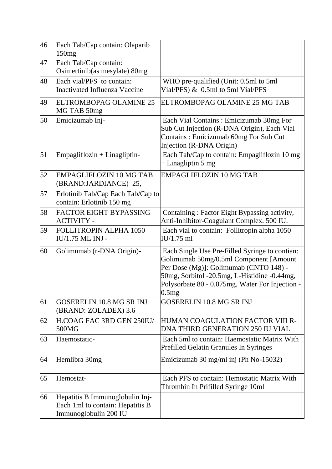| 46 | Each Tab/Cap contain: Olaparib<br>150mg                                                      |                                                                                                                                                                                                                                                |
|----|----------------------------------------------------------------------------------------------|------------------------------------------------------------------------------------------------------------------------------------------------------------------------------------------------------------------------------------------------|
| 47 | Each Tab/Cap contain:<br>Osimertinib(as mesylate) 80mg                                       |                                                                                                                                                                                                                                                |
| 48 | Each vial/PFS to contain:<br><b>Inactivated Influenza Vaccine</b>                            | WHO pre-qualified (Unit: 0.5ml to 5ml<br>Vial/PFS) & 0.5ml to 5ml Vial/PFS                                                                                                                                                                     |
| 49 | <b>ELTROMBOPAG OLAMINE 25</b><br>MG TAB 50mg                                                 | ELTROMBOPAG OLAMINE 25 MG TAB                                                                                                                                                                                                                  |
| 50 | Emicizumab Inj-                                                                              | Each Vial Contains: Emicizumab 30mg For<br>Sub Cut Injection (R-DNA Origin), Each Vial<br>Contains: Emicizumab 60mg For Sub Cut<br>Injection (R-DNA Origin)                                                                                    |
| 51 | $Empagliflozin + Lingliptin-$                                                                | Each Tab/Cap to contain: Empagliflozin 10 mg<br>+ Linagliptin 5 mg                                                                                                                                                                             |
| 52 | <b>EMPAGLIFLOZIN 10 MG TAB</b><br>(BRAND:JARDIANCE) 25,                                      | <b>EMPAGLIFLOZIN 10 MG TAB</b>                                                                                                                                                                                                                 |
| 57 | Erlotinib Tab/Cap Each Tab/Cap to<br>contain: Erlotinib 150 mg                               |                                                                                                                                                                                                                                                |
| 58 | <b>FACTOR EIGHT BYPASSING</b><br><b>ACTIVITY -</b>                                           | Containing: Factor Eight Bypassing activity,<br>Anti-Inhibitor-Coagulant Complex. 500 IU.                                                                                                                                                      |
| 59 | FOLLITROPIN ALPHA 1050<br>IU/1.75 ML INJ -                                                   | Each vial to contain: Follitropin alpha 1050<br>IU/1.75 ml                                                                                                                                                                                     |
| 60 | Golimumab (r-DNA Origin)-                                                                    | Each Single Use Pre-Filled Syringe to contian:<br>Golimumab 50mg/0.5ml Component [Amount<br>Per Dose (Mg)]: Golimumab (CNTO 148) -<br>50mg, Sorbitol -20.5mg, L-Histidine -0.44mg,<br>Polysorbate 80 - 0.075mg, Water For Injection -<br>0.5mg |
| 61 | <b>GOSERELIN 10.8 MG SR INJ</b><br>(BRAND: ZOLADEX) 3.6                                      | GOSERELIN 10.8 MG SR INJ                                                                                                                                                                                                                       |
| 62 | H.COAG FAC 3RD GEN 250IU/<br>500MG                                                           | HUMAN COAGULATION FACTOR VIII R-<br>DNA THIRD GENERATION 250 IU VIAL                                                                                                                                                                           |
| 63 | Haemostatic-                                                                                 | Each 5ml to contain: Haemostatic Matrix With<br><b>Prefilled Gelatin Granules In Syringes</b>                                                                                                                                                  |
| 64 | Hemlibra 30mg                                                                                | Emicizumab 30 mg/ml inj (Ph No-15032)                                                                                                                                                                                                          |
| 65 | Hemostat-                                                                                    | Each PFS to contain: Hemostatic Matrix With<br>Thrombin In Prifilled Syringe 10ml                                                                                                                                                              |
| 66 | Hepatitis B Immunoglobulin Inj-<br>Each 1ml to contain: Hepatitis B<br>Immunoglobulin 200 IU |                                                                                                                                                                                                                                                |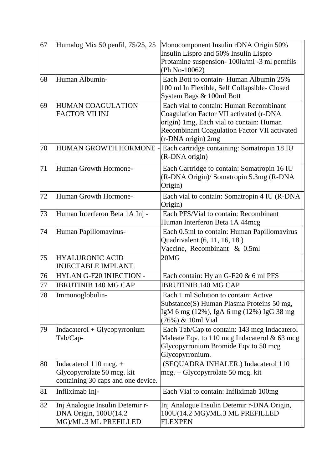| 67 | Humalog Mix 50 penfil, 75/25, 25                                                             | Monocomponent Insulin rDNA Origin 50%<br>Insulin Lispro and 50% Insulin Lispro<br>Protamine suspension-100iu/ml -3 ml pernfils<br>(Ph No-10062)                                                             |
|----|----------------------------------------------------------------------------------------------|-------------------------------------------------------------------------------------------------------------------------------------------------------------------------------------------------------------|
| 68 | Human Albumin-                                                                               | Each Bott to contain-Human Albumin 25%<br>100 ml In Flexible, Self Collapsible-Closed<br>System Bags & 100ml Bott                                                                                           |
| 69 | <b>HUMAN COAGULATION</b><br><b>FACTOR VII INJ</b>                                            | Each vial to contain: Human Recombinant<br>Coagulation Factor VII activated (r-DNA<br>origin) 1mg, Each vial to contain: Human<br><b>Recombinant Coagulation Factor VII activated</b><br>(r-DNA origin) 2mg |
| 70 | HUMAN GROWTH HORMONE -                                                                       | Each cartridge containing: Somatropin 18 IU<br>(R-DNA origin)                                                                                                                                               |
| 71 | Human Growth Hormone-                                                                        | Each Cartridge to contain: Somatropin 16 IU<br>(R-DNA Origin)/ Somatropin 5.3mg (R-DNA<br>Origin)                                                                                                           |
| 72 | Human Growth Hormone-                                                                        | Each vial to contain: Somatropin 4 IU (R-DNA)<br>Origin)                                                                                                                                                    |
| 73 | Human Interferon Beta 1A Inj -                                                               | Each PFS/Vial to contain: Recombinant<br>Human Interferon Beta 1A 44mcg                                                                                                                                     |
| 74 | Human Papillomavirus-                                                                        | Each 0.5ml to contain: Human Papillomavirus<br>Quadrivalent (6, 11, 16, 18)<br>Vaccine, Recombinant & 0.5ml                                                                                                 |
| 75 | <b>HYALURONIC ACID</b><br><b>INJECTABLE IMPLANT.</b>                                         | 20MG                                                                                                                                                                                                        |
| 76 | <b>HYLAN G-F20 INJECTION -</b>                                                               | Each contain: Hylan G-F20 & 6 ml PFS                                                                                                                                                                        |
| 77 | <b>IBRUTINIB 140 MG CAP</b>                                                                  | <b>IBRUTINIB 140 MG CAP</b>                                                                                                                                                                                 |
| 78 | Immunoglobulin-                                                                              | Each 1 ml Solution to contain: Active<br>Substance(S) Human Plasma Proteins 50 mg,<br>IgM 6 mg (12%), IgA 6 mg (12%) IgG 38 mg<br>(76%) & 10ml Vial                                                         |
| 79 | $Indacaterol + Glycopyrronium$<br>Tab/Cap-                                                   | Each Tab/Cap to contain: 143 mcg Indacaterol<br>Maleate Eqv. to $110$ mcg Indacaterol & 63 mcg<br>Glycopyrronium Bromide Eqv to 50 mcg<br>Glycopyrronium.                                                   |
| 80 | Indacaterol $110$ mcg. +<br>Glycopyrrolate 50 mcg. kit<br>containing 30 caps and one device. | (SEQUADRA INHALER.) Indacaterol 110<br>$\text{mcg.} + \text{Glycopyrrolate 50 mcg. kit}$                                                                                                                    |
| 81 | Infliximab Inj-                                                                              | Each Vial to contain: Infliximab 100mg                                                                                                                                                                      |
| 82 | Inj Analogue Insulin Detemir r-<br>DNA Origin, 100U(14.2<br>MG)/ML.3 ML PREFILLED            | Inj Analogue Insulin Detemir r-DNA Origin,<br>100U(14.2 MG)/ML.3 ML PREFILLED<br><b>FLEXPEN</b>                                                                                                             |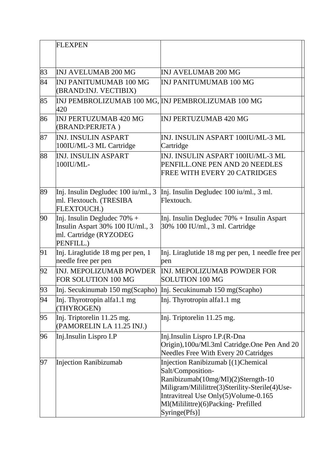|    | <b>FLEXPEN</b>                                                                                            |                                                                                                                                                                                                                                                |
|----|-----------------------------------------------------------------------------------------------------------|------------------------------------------------------------------------------------------------------------------------------------------------------------------------------------------------------------------------------------------------|
| 83 | <b>INJ AVELUMAB 200 MG</b>                                                                                | <b>INJ AVELUMAB 200 MG</b>                                                                                                                                                                                                                     |
| 84 | <b>INJ PANITUMUMAB 100 MG</b><br>(BRAND:INJ. VECTIBIX)                                                    | <b>INJ PANITUMUMAB 100 MG</b>                                                                                                                                                                                                                  |
| 85 | 420                                                                                                       | INJ PEMBROLIZUMAB 100 MG, INJ PEMBROLIZUMAB 100 MG                                                                                                                                                                                             |
| 86 | <b>INJ PERTUZUMAB 420 MG</b><br>(BRAND:PERJETA)                                                           | <b>INJ PERTUZUMAB 420 MG</b>                                                                                                                                                                                                                   |
| 87 | <b>INJ. INSULIN ASPART</b><br>100IU/ML-3 ML Cartridge                                                     | INJ. INSULIN ASPART 100IU/ML-3 ML<br>Cartridge                                                                                                                                                                                                 |
| 88 | <b>INJ. INSULIN ASPART</b><br>100IU/ML-                                                                   | INJ. INSULIN ASPART 100IU/ML-3 ML<br>PENFILL.ONE PEN AND 20 NEEDLES<br>FREE WITH EVERY 20 CATRIDGES                                                                                                                                            |
| 89 | Inj. Insulin Degludec 100 iu/ml., 3<br>ml. Flextouch. (TRESIBA<br>FLEXTOUCH.)                             | Inj. Insulin Degludec 100 iu/ml., 3 ml.<br>Flextouch.                                                                                                                                                                                          |
| 90 | Inj. Insulin Degludec $70\%$ +<br>Insulin Aspart 30% 100 IU/ml., 3<br>ml. Cartridge (RYZODEG<br>PENFILL.) | Inj. Insulin Degludec 70% + Insulin Aspart<br>30% 100 IU/ml., 3 ml. Cartridge                                                                                                                                                                  |
| 91 | Inj. Liraglutide 18 mg per pen, 1<br>needle free per pen                                                  | Inj. Liraglutide 18 mg per pen, 1 needle free per<br>pen                                                                                                                                                                                       |
| 92 | <b>INJ. MEPOLIZUMAB POWDER</b><br>FOR SOLUTION 100 MG                                                     | <b>INJ. MEPOLIZUMAB POWDER FOR</b><br><b>SOLUTION 100 MG</b>                                                                                                                                                                                   |
| 93 |                                                                                                           | Inj. Secukinumab 150 mg(Scapho) Inj. Secukinumab 150 mg(Scapho)                                                                                                                                                                                |
| 94 | Inj. Thyrotropin alfa1.1 mg<br>(THYROGEN)                                                                 | Inj. Thyrotropin alfa1.1 mg                                                                                                                                                                                                                    |
| 95 | Inj. Triptorelin 11.25 mg.<br>(PAMORELIN LA 11.25 INJ.)                                                   | Inj. Triptorelin 11.25 mg.                                                                                                                                                                                                                     |
| 96 | Inj.Insulin Lispro I.P                                                                                    | Inj.Insulin Lispro I.P.(R-Dna<br>Origin), 100u/Ml.3ml Catridge. One Pen And 20<br><b>Needles Free With Every 20 Catridges</b>                                                                                                                  |
| 97 | <b>Injection Ranibizumab</b>                                                                              | Injection Ranibizumab [(1)Chemical<br>Salt/Composition-<br>Ranibizumab(10mg/Ml)(2)Sterngth-10<br>Miligram/Mililittre(3)Sterility-Sterile(4)Use-<br>Intravitreal Use Only(5)Volume-0.165<br>Ml(Mililittre)(6)Packing-Prefilled<br>Syringe(Pfs)] |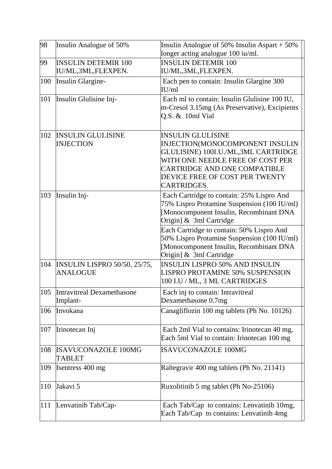| 98  | Insulin Analogue of 50%                                | Insulin Analogue of 50% Insulin Aspart + 50%<br>longer acting analogue 100 iu/ml.                                                                                                                                                     |
|-----|--------------------------------------------------------|---------------------------------------------------------------------------------------------------------------------------------------------------------------------------------------------------------------------------------------|
| 99  | <b>INSULIN DETEMIR 100</b><br>IU/ML,3ML,FLEXPEN.       | <b>INSULIN DETEMIR 100</b><br>IU/ML,3ML,FLEXPEN.                                                                                                                                                                                      |
| 100 | Insulin Glargine-                                      | Each pen to contain: Insulin Glargine 300<br>IU/ml                                                                                                                                                                                    |
| 101 | Insulin Glulisine Inj-                                 | Each ml to contain: Insulin Glulisine 100 IU,<br>m-Cresol 3.15mg (As Preservative), Excipients<br>Q.S. & 10ml Vial                                                                                                                    |
| 102 | <b>INSULIN GLULISINE</b><br><b>INJECTION</b>           | <b>INSULIN GLULISINE</b><br><b>INJECTION(MONOCOMPONENT INSULIN</b><br>GLULISINE) 100I.U./ML,3ML CARTRIDGE<br>WITH ONE NEEDLE FREE OF COST PER<br><b>CARTRIDGE AND ONE COMPATIBLE</b><br>DEVICE FREE OF COST PER TWENTY<br>CARTRIDGES. |
| 103 | Insulin Inj-                                           | Each Cartridge to contain: 25% Lispro And<br>75% Lispro Protamine Suspension (100 IU/ml)<br>[Monocomponent Insulin, Recombinant DNA<br>Origin] & 3ml Cartridge                                                                        |
|     |                                                        | Each Cartridge to contain: 50% Lispro And<br>50% Lispro Protamine Suspension (100 IU/ml)<br>[Monocomponent Insulin, Recombinant DNA<br>Origin] & 3ml Cartridge                                                                        |
| 104 | <b>INSULIN LISPRO 50/50, 25/75,</b><br><b>ANALOGUE</b> | <b>INSULIN LISPRO 50% AND INSULIN</b><br><b>LISPRO PROTAMINE 50% SUSPENSION</b><br>100 I.U / ML, 3 ML CARTRIDGES                                                                                                                      |
| 105 | Intravitreal Dexamethasone<br>Implant-                 | Each inj to contain: Intravitreal<br>Dexamethasone 0.7mg                                                                                                                                                                              |
| 106 | Invokana                                               | Canagliflozin 100 mg tablets (Ph No. 10126)                                                                                                                                                                                           |
| 107 | Irinotecan Inj                                         | Each 2ml Vial to contains: Irinotecan 40 mg,<br>Each 5ml Vial to contain: Irinotecan 100 mg                                                                                                                                           |
| 108 | <b>ISAVUCONAZOLE 100MG</b><br>TABLET                   | <b>ISAVUCONAZOLE 100MG</b>                                                                                                                                                                                                            |
| 109 | Isentress 400 mg                                       | Raltegravir 400 mg tablets (Ph No. 21141)                                                                                                                                                                                             |
| 110 | Jakavi 5                                               | Ruxolitinib 5 mg tablet (Ph No-25106)                                                                                                                                                                                                 |
| 111 | Lenvatinib Tab/Cap-                                    | Each Tab/Cap to contains: Lenvatinib 10mg,<br>Each Tab/Cap to contains: Lenvatinib 4mg                                                                                                                                                |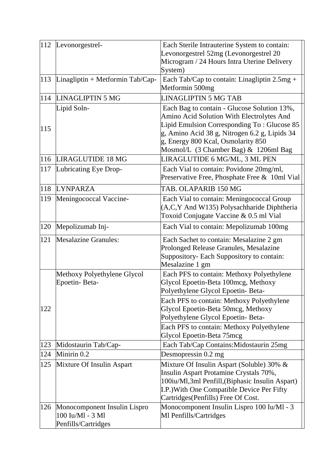| 112 | Levonorgestrel-                                                         | Each Sterile Intrauterine System to contain:                                                                                                                                                                                                                            |
|-----|-------------------------------------------------------------------------|-------------------------------------------------------------------------------------------------------------------------------------------------------------------------------------------------------------------------------------------------------------------------|
|     |                                                                         | Levonorgestrel 52mg (Levonorgestrel 20                                                                                                                                                                                                                                  |
|     |                                                                         | Microgram / 24 Hours Intra Uterine Delivery                                                                                                                                                                                                                             |
|     |                                                                         | System)                                                                                                                                                                                                                                                                 |
| 113 | Linagliptin + Metformin Tab/Cap-                                        | Each Tab/Cap to contain: Linagliptin 2.5mg +<br>Metformin 500mg                                                                                                                                                                                                         |
| 114 | <b>LINAGLIPTIN 5 MG</b>                                                 | <b>LINAGLIPTIN 5 MG TAB</b>                                                                                                                                                                                                                                             |
| 115 | Lipid Soln-                                                             | Each Bag to contain - Glucose Solution 13%,<br>Amino Acid Solution With Electrolytes And<br>Lipid Emulsion Corresponding To: Glucose 85<br>g, Amino Acid 38 g, Nitrogen 6.2 g, Lipids 34<br>g, Energy 800 Kcal, Osmolarity 850<br>Mosmol/L (3 Chamber Bag) & 1206ml Bag |
| 116 | LIRAGLUTIDE 18 MG                                                       | LIRAGLUTIDE 6 MG/ML, 3 ML PEN                                                                                                                                                                                                                                           |
| 117 | Lubricating Eye Drop-                                                   | Each Vial to contain: Povidone 20mg/ml,<br>Preservative Free, Phosphate Free & 10ml Vial                                                                                                                                                                                |
| 118 | <b>LYNPARZA</b>                                                         | TAB. OLAPARIB 150 MG                                                                                                                                                                                                                                                    |
| 119 | Meningococcal Vaccine-                                                  | Each Vial to contain: Meningococcal Group<br>(A,C,Y And W135) Polysachharide Diphtheria<br>Toxoid Conjugate Vaccine & 0.5 ml Vial                                                                                                                                       |
| 120 | Mepolizumab Inj-                                                        | Each Vial to contain: Mepolizumab 100mg                                                                                                                                                                                                                                 |
| 121 | <b>Mesalazine Granules:</b>                                             | Each Sachet to contain: Mesalazine 2 gm<br>Prolonged Release Granules, Mesalazine<br>Suppository- Each Suppository to contain:<br>Mesalazine 1 gm                                                                                                                       |
|     | Methoxy Polyethylene Glycol<br>Epoetin-Beta-                            | Each PFS to contain: Methoxy Polyethylene<br>Glycol Epoetin-Beta 100mcg, Methoxy<br>Polyethylene Glycol Epoetin- Beta-                                                                                                                                                  |
| 122 |                                                                         | Each PFS to contain: Methoxy Polyethylene<br>Glycol Epoetin-Beta 50mcg, Methoxy<br>Polyethylene Glycol Epoetin- Beta-                                                                                                                                                   |
|     |                                                                         | Each PFS to contain: Methoxy Polyethylene<br>Glycol Epoetin-Beta 75mcg                                                                                                                                                                                                  |
| 123 | Midostaurin Tab/Cap-                                                    | Each Tab/Cap Contains: Midostaurin 25mg                                                                                                                                                                                                                                 |
| 124 | Minirin <sub>0.2</sub>                                                  | Desmopressin 0.2 mg                                                                                                                                                                                                                                                     |
| 125 | Mixture Of Insulin Aspart                                               | Mixture Of Insulin Aspart (Soluble) 30% &<br>Insulin Aspart Protamine Crystals 70%,<br>100iu/Ml,3ml Penfill, (Biphasic Insulin Aspart)<br>I.P.) With One Compatible Device Per Fifty<br>Cartridges(Penfills) Free Of Cost.                                              |
| 126 | Monocomponent Insulin Lispro<br>100 Iu/Ml - 3 Ml<br>Penfills/Cartridges | Monocomponent Insulin Lispro 100 Iu/Ml - 3<br>Ml Penfills/Cartridges                                                                                                                                                                                                    |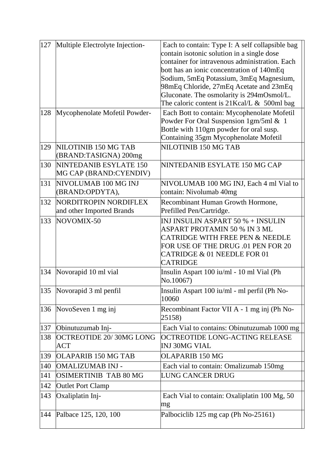| 127 | Multiple Electrolyte Injection-                    | Each to contain: Type I: A self collapsible bag<br>contain isotonic solution in a single dose<br>container for intravenous administration. Each<br>bott has an ionic concentration of 140mEq<br>Sodium, 5mEq Potassium, 3mEq Magnesium,<br>98mEq Chloride, 27mEq Acetate and 23mEq<br>Gluconate. The osmolarity is 294mOsmol/L.<br>The caloric content is $21$ Kcal/L & 500ml bag |
|-----|----------------------------------------------------|-----------------------------------------------------------------------------------------------------------------------------------------------------------------------------------------------------------------------------------------------------------------------------------------------------------------------------------------------------------------------------------|
| 128 | Mycophenolate Mofetil Powder-                      | Each Bott to contain: Mycophenolate Mofetil<br>Powder For Oral Suspension 1gm/5ml & 1<br>Bottle with 110gm powder for oral susp.<br>Containing 35gm Mycophenolate Mofetil                                                                                                                                                                                                         |
| 129 | NILOTINIB 150 MG TAB<br>(BRAND:TASIGNA) 200mg      | NILOTINIB 150 MG TAB                                                                                                                                                                                                                                                                                                                                                              |
| 130 | NINTEDANIB ESYLATE 150<br>MG CAP (BRAND:CYENDIV)   | NINTEDANIB ESYLATE 150 MG CAP                                                                                                                                                                                                                                                                                                                                                     |
| 131 | NIVOLUMAB 100 MG INJ<br>(BRAND:OPDYTA),            | NIVOLUMAB 100 MG INJ, Each 4 ml Vial to<br>contain: Nivolumab 40mg                                                                                                                                                                                                                                                                                                                |
| 132 | NORDITROPIN NORDIFLEX<br>and other Imported Brands | Recombinant Human Growth Hormone,<br>Prefilled Pen/Cartridge.                                                                                                                                                                                                                                                                                                                     |
| 133 | NOVOMIX-50                                         | INJ INSULIN ASPART 50 % + INSULIN<br>ASPART PROTAMIN 50 % IN 3 ML<br><b>CATRIDGE WITH FREE PEN &amp; NEEDLE</b><br>FOR USE OF THE DRUG .01 PEN FOR 20<br>CATRIDGE & 01 NEEDLE FOR 01<br><b>CATRIDGE</b>                                                                                                                                                                           |
| 134 | Novorapid 10 ml vial                               | Insulin Aspart 100 iu/ml - 10 ml Vial (Ph<br>No.10067)                                                                                                                                                                                                                                                                                                                            |
|     | 135 Novorapid 3 ml penfil                          | Insulin Aspart 100 iu/ml - ml perfil (Ph No-<br>10060                                                                                                                                                                                                                                                                                                                             |
| 136 | NovoSeven 1 mg inj                                 | Recombinant Factor VII A - 1 mg inj (Ph No-<br>25158)                                                                                                                                                                                                                                                                                                                             |
| 137 | Obinutuzumab Inj-                                  | Each Vial to contains: Obinutuzumab 1000 mg                                                                                                                                                                                                                                                                                                                                       |
| 138 | OCTREOTIDE 20/30MG LONG<br><b>ACT</b>              | OCTREOTIDE LONG-ACTING RELEASE<br><b>INJ 30MG VIAL</b>                                                                                                                                                                                                                                                                                                                            |
| 139 | OLAPARIB 150 MG TAB                                | <b>OLAPARIB 150 MG</b>                                                                                                                                                                                                                                                                                                                                                            |
| 140 | OMALIZUMAB INJ -                                   | Each vial to contain: Omalizumab 150mg                                                                                                                                                                                                                                                                                                                                            |
| 141 | <b>OSIMERTINIB TAB 80 MG</b>                       | LUNG CANCER DRUG                                                                                                                                                                                                                                                                                                                                                                  |
| 142 | <b>Outlet Port Clamp</b>                           |                                                                                                                                                                                                                                                                                                                                                                                   |
| 143 | Oxaliplatin Inj-                                   | Each Vial to contain: Oxaliplatin 100 Mg, 50<br>mg                                                                                                                                                                                                                                                                                                                                |
| 144 | Palbace 125, 120, 100                              | Palbociclib 125 mg cap (Ph No-25161)                                                                                                                                                                                                                                                                                                                                              |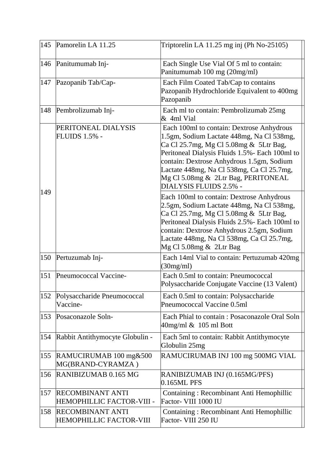|     | 145 Pamorelin LA 11.25                               | Triptorelin LA $11.25$ mg inj (Ph No-25105)                                                                                                                                                                                                                                                                                                    |
|-----|------------------------------------------------------|------------------------------------------------------------------------------------------------------------------------------------------------------------------------------------------------------------------------------------------------------------------------------------------------------------------------------------------------|
|     | 146 Panitumumab Inj-                                 | Each Single Use Vial Of 5 ml to contain:<br>Panitumumab 100 mg (20mg/ml)                                                                                                                                                                                                                                                                       |
| 147 | Pazopanib Tab/Cap-                                   | Each Film Coated Tab/Cap to contains<br>Pazopanib Hydrochloride Equivalent to 400mg<br>Pazopanib                                                                                                                                                                                                                                               |
| 148 | Pembrolizumab Inj-                                   | Each ml to contain: Pembrolizumab 25mg<br>& 4ml Vial                                                                                                                                                                                                                                                                                           |
|     | PERITONEAL DIALYSIS<br><b>FLUIDS 1.5% -</b>          | Each 100ml to contain: Dextrose Anhydrous<br>1.5gm, Sodium Lactate 448mg, Na Cl 538mg,<br>Ca Cl 25.7mg, Mg Cl 5.08mg & 5Ltr Bag,<br>Peritoneal Dialysis Fluids 1.5% - Each 100ml to<br>contain: Dextrose Anhydrous 1.5gm, Sodium<br>Lactate 448mg, Na Cl 538mg, Ca Cl 25.7mg,<br>Mg Cl 5.08mg & 2Ltr Bag, PERITONEAL<br>DIALYSIS FLUIDS 2.5% - |
| 149 |                                                      | Each 100ml to contain: Dextrose Anhydrous<br>2.5gm, Sodium Lactate 448mg, Na Cl 538mg,<br>Ca Cl 25.7mg, Mg Cl 5.08mg & 5Ltr Bag,<br>Peritoneal Dialysis Fluids 2.5% - Each 100ml to<br>contain: Dextrose Anhydrous 2.5gm, Sodium<br>Lactate 448mg, Na Cl 538mg, Ca Cl 25.7mg,<br>Mg Cl 5.08mg & 2Ltr Bag                                       |
| 150 | Pertuzumab Inj-                                      | Each 14ml Vial to contain: Pertuzumab 420mg<br>(30mg/ml)                                                                                                                                                                                                                                                                                       |
| 151 | Pneumococcal Vaccine-                                | Each 0.5ml to contain: Pneumococcal<br>Polysaccharide Conjugate Vaccine (13 Valent)                                                                                                                                                                                                                                                            |
| 152 | Polysaccharide Pneumococcal<br>Vaccine-              | Each 0.5ml to contain: Polysaccharide<br>Pneumococcal Vaccine 0.5ml                                                                                                                                                                                                                                                                            |
| 153 | Posaconazole Soln-                                   | Each Phial to contain: Posaconazole Oral Soln<br>$40$ mg/ml $\&$ 105 ml Bott                                                                                                                                                                                                                                                                   |
| 154 | Rabbit Antithymocyte Globulin -                      | Each 5ml to contain: Rabbit Antithymocyte<br>Globulin 25mg                                                                                                                                                                                                                                                                                     |
| 155 | RAMUCIRUMAB 100 mg&500<br>MG(BRAND-CYRAMZA)          | RAMUCIRUMAB INJ 100 mg 500MG VIAL                                                                                                                                                                                                                                                                                                              |
| 156 | RANIBIZUMAB 0.165 MG                                 | RANIBIZUMAB INJ (0.165MG/PFS)<br>0.165ML PFS                                                                                                                                                                                                                                                                                                   |
| 157 | <b>RECOMBINANT ANTI</b><br>HEMOPHILLIC FACTOR-VIII - | Containing: Recombinant Anti Hemophillic<br>Factor- VIII 1000 IU                                                                                                                                                                                                                                                                               |
| 158 | <b>RECOMBINANT ANTI</b><br>HEMOPHILLIC FACTOR-VIII   | Containing: Recombinant Anti Hemophillic<br>Factor- VIII 250 IU                                                                                                                                                                                                                                                                                |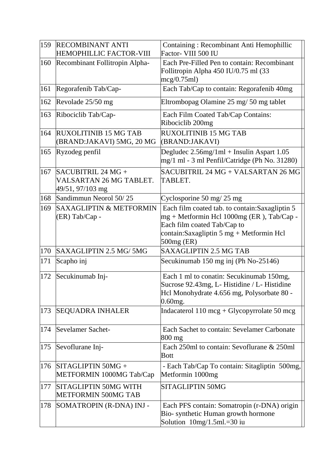| 159 | <b>RECOMBINANT ANTI</b><br>HEMOPHILLIC FACTOR-VIII                  | Containing: Recombinant Anti Hemophillic<br>Factor- VIII 500 IU                                                                                                                                    |
|-----|---------------------------------------------------------------------|----------------------------------------------------------------------------------------------------------------------------------------------------------------------------------------------------|
| 160 | Recombinant Follitropin Alpha-                                      | Each Pre-Filled Pen to contain: Recombinant<br>Follitropin Alpha 450 IU/0.75 ml (33<br>mcg/0.75ml)                                                                                                 |
| 161 | Regorafenib Tab/Cap-                                                | Each Tab/Cap to contain: Regorafenib 40mg                                                                                                                                                          |
| 162 | Revolade 25/50 mg                                                   | Eltrombopag Olamine 25 mg/ 50 mg tablet                                                                                                                                                            |
| 163 | Ribociclib Tab/Cap-                                                 | Each Film Coated Tab/Cap Contains:<br>Ribociclib 200mg                                                                                                                                             |
| 164 | <b>RUXOLITINIB 15 MG TAB</b><br>(BRAND:JAKAVI) 5MG, 20 MG           | <b>RUXOLITINIB 15 MG TAB</b><br>(BRAND:JAKAVI)                                                                                                                                                     |
| 165 | Ryzodeg penfil                                                      | Degludec $2.56$ mg/1ml + Insulin Aspart 1.05<br>mg/1 ml - 3 ml Penfil/Catridge (Ph No. 31280)                                                                                                      |
| 167 | $SACUBITRIL$ 24 MG +<br>VALSARTAN 26 MG TABLET.<br>49/51, 97/103 mg | SACUBITRIL 24 MG + VALSARTAN 26 MG<br>TABLET.                                                                                                                                                      |
| 168 | Sandimmun Neorol 50/25                                              | Cyclosporine 50 mg/ $25$ mg                                                                                                                                                                        |
| 169 | SAXAGLIPTIN & METFORMIN<br>(ER) Tab/Cap -                           | Each film coated tab. to contain: Saxagliptin 5<br>mg + Metformin Hcl 1000mg (ER), Tab/Cap -<br>Each film coated Tab/Cap to<br>contain: Saxagliptin 5 mg + Metformin Hcl<br>500 <sub>mg</sub> (ER) |
| 170 | SAXAGLIPTIN 2.5 MG/5MG                                              | <b>SAXAGLIPTIN 2.5 MG TAB</b>                                                                                                                                                                      |
| 171 | Scapho inj                                                          | Secukinumab 150 mg inj (Ph No-25146)                                                                                                                                                               |
| 172 | Secukinumab Inj-                                                    | Each 1 ml to conatin: Secukinumab 150mg,<br>Sucrose 92.43mg, L- Histidine / L- Histidine<br>Hcl Monohydrate 4.656 mg, Polysorbate 80 -<br>$0.60$ mg.                                               |
| 173 | <b>SEQUADRA INHALER</b>                                             | Indacaterol $110 \text{ mcg} + \text{Glycopyrrolate} 50 \text{ mcg}$                                                                                                                               |
| 174 | Sevelamer Sachet-                                                   | Each Sachet to contain: Sevelamer Carbonate<br>$800$ mg                                                                                                                                            |
| 175 | Sevoflurane Inj-                                                    | Each 250ml to contain: Sevoflurane & 250ml<br><b>Bott</b>                                                                                                                                          |
| 176 | SITAGLIPTIN 50MG +<br>METFORMIN 1000MG Tab/Cap                      | - Each Tab/Cap To contain: Sitagliptin 500mg,<br>Metformin 1000mg                                                                                                                                  |
| 177 | SITAGLIPTIN 50MG WITH<br><b>METFORMIN 500MG TAB</b>                 | <b>SITAGLIPTIN 50MG</b>                                                                                                                                                                            |
| 178 | SOMATROPIN (R-DNA) INJ -                                            | Each PFS contain: Somatropin (r-DNA) origin<br>Bio- synthetic Human growth hormone<br>Solution $10mg/1.5ml = 30$ iu                                                                                |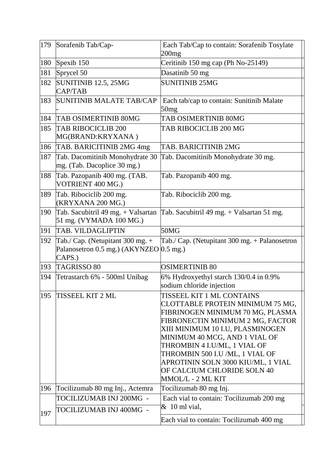| 179 | Sorafenib Tab/Cap-                                                                      | Each Tab/Cap to contain: Sorafenib Tosylate<br>200 <sub>mg</sub>                                                                                                                                                                                                                                                                                                        |
|-----|-----------------------------------------------------------------------------------------|-------------------------------------------------------------------------------------------------------------------------------------------------------------------------------------------------------------------------------------------------------------------------------------------------------------------------------------------------------------------------|
| 180 | Spexib 150                                                                              | Ceritinib 150 mg cap (Ph No-25149)                                                                                                                                                                                                                                                                                                                                      |
| 181 | Sprycel 50                                                                              | Dasatinib 50 mg                                                                                                                                                                                                                                                                                                                                                         |
| 182 | SUNITINIB 12.5, 25MG<br>CAP/TAB                                                         | <b>SUNITINIB 25MG</b>                                                                                                                                                                                                                                                                                                                                                   |
| 183 | <b>SUNITINIB MALATE TAB/CAP</b>                                                         | Each tab/cap to contain: Sunitinib Malate<br>50mg                                                                                                                                                                                                                                                                                                                       |
| 184 | <b>TAB OSIMERTINIB 80MG</b>                                                             | TAB OSIMERTINIB 80MG                                                                                                                                                                                                                                                                                                                                                    |
| 185 | <b>TAB RIBOCICLIB 200</b><br>MG(BRAND:KRYXANA)                                          | TAB RIBOCICLIB 200 MG                                                                                                                                                                                                                                                                                                                                                   |
| 186 | TAB. BARICITINIB 2MG 4mg                                                                | TAB. BARICITINIB 2MG                                                                                                                                                                                                                                                                                                                                                    |
| 187 | Tab. Dacomitinib Monohydrate 30<br>mg. (Tab. Dacoplice 30 mg.)                          | Tab. Dacomitinib Monohydrate 30 mg.                                                                                                                                                                                                                                                                                                                                     |
| 188 | Tab. Pazopanib 400 mg. (TAB.<br>VOTRIENT 400 MG.)                                       | Tab. Pazopanib 400 mg.                                                                                                                                                                                                                                                                                                                                                  |
| 189 | Tab. Ribociclib 200 mg.<br>(KRYXANA 200 MG.)                                            | Tab. Ribociclib 200 mg.                                                                                                                                                                                                                                                                                                                                                 |
| 190 | Tab. Sacubitril 49 mg. + Valsartan<br>51 mg. (VYMADA 100 MG.)                           | Tab. Sacubitril 49 mg. + Valsartan 51 mg.                                                                                                                                                                                                                                                                                                                               |
| 191 | TAB. VILDAGLIPTIN                                                                       | 50MG                                                                                                                                                                                                                                                                                                                                                                    |
| 192 | Tab./ Cap. (Netupitant $300$ mg. +<br>Palanosetron 0.5 mg.) (AKYNZEO 0.5 mg.)<br>CAPS.) | Tab./ Cap. (Netupitant 300 mg. + Palanosetron                                                                                                                                                                                                                                                                                                                           |
| 193 | <b>TAGRISSO 80</b>                                                                      | <b>OSIMERTINIB 80</b>                                                                                                                                                                                                                                                                                                                                                   |
| 194 | Tetrastarch 6% - 500ml Unibag                                                           | 6% Hydroxyethyl starch 130/0.4 in 0.9%<br>sodium chloride injection                                                                                                                                                                                                                                                                                                     |
| 195 | TISSEEL KIT 2 ML                                                                        | TISSEEL KIT 1 ML CONTAINS<br>CLOTTABLE PROTEIN MINIMUM 75 MG,<br>FIBRINOGEN MINIMUM 70 MG, PLASMA<br>FIBRONECTIN MINIMUM 2 MG, FACTOR<br>XIII MINIMUM 10 I.U, PLASMINOGEN<br>MINIMUM 40 MCG, AND 1 VIAL OF<br>THROMBIN 4 I.U/ML, 1 VIAL OF<br>THROMBIN 500 I.U /ML, 1 VIAL OF<br>APROTININ SOLN 3000 KIU/ML, 1 VIAL<br>OF CALCIUM CHLORIDE SOLN 40<br>MMOL/L - 2 ML KIT |
| 196 | Tocilizumab 80 mg Inj., Actemra                                                         | Tocilizumab 80 mg Inj.                                                                                                                                                                                                                                                                                                                                                  |
|     | TOCILIZUMAB INJ 200MG -                                                                 | Each vial to contain: Tocilizumab 200 mg<br>$&$ 10 ml vial,                                                                                                                                                                                                                                                                                                             |
| 197 | TOCILIZUMAB INJ 400MG -                                                                 | Each vial to contain: Tocilizumab 400 mg                                                                                                                                                                                                                                                                                                                                |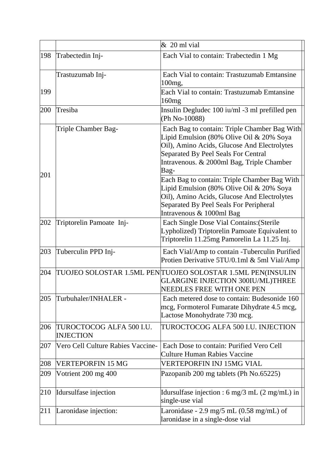|     |                                              | $& 20$ ml vial                                                                                                                                                                                                                      |
|-----|----------------------------------------------|-------------------------------------------------------------------------------------------------------------------------------------------------------------------------------------------------------------------------------------|
| 198 | Trabectedin Inj-                             | Each Vial to contain: Trabectedin 1 Mg                                                                                                                                                                                              |
|     | Trastuzumab Inj-                             | Each Vial to contain: Trastuzumab Emtansine<br>100 <sub>mg</sub>                                                                                                                                                                    |
| 199 |                                              | Each Vial to contain: Trastuzumab Emtansine<br>160mg                                                                                                                                                                                |
| 200 | Tresiba                                      | Insulin Degludec 100 iu/ml -3 ml prefilled pen<br>(Ph No-10088)                                                                                                                                                                     |
| 201 | Triple Chamber Bag-                          | Each Bag to contain: Triple Chamber Bag With<br>Lipid Emulsion (80% Olive Oil & 20% Soya<br>Oil), Amino Acids, Glucose And Electrolytes<br>Separated By Peel Seals For Central<br>Intravenous. & 2000ml Bag, Triple Chamber<br>Bag- |
|     |                                              | Each Bag to contain: Triple Chamber Bag With<br>Lipid Emulsion (80% Olive Oil & 20% Soya<br>Oil), Amino Acids, Glucose And Electrolytes<br>Separated By Peel Seals For Peripheral<br>Intravenous & 1000ml Bag                       |
| 202 | Triptorelin Pamoate Inj-                     | Each Single Dose Vial Contains: (Sterile<br>Lypholized) Triptorelin Pamoate Equivalent to<br>Triptorelin 11.25mg Pamorelin La 11.25 Inj.                                                                                            |
| 203 | Tuberculin PPD Inj-                          | Each Vial/Amp to contain -Tuberculin Purified<br>Protien Derivative 5TU/0.1ml & 5ml Vial/Amp                                                                                                                                        |
| 204 |                                              | TUOJEO SOLOSTAR 1.5ML PEN TUOJEO SOLOSTAR 1.5ML PEN(INSULIN<br>GLARGINE INJECTION 300IU/ML)THREE<br>NEEDLES FREE WITH ONE PEN                                                                                                       |
| 205 | Turbuhaler/INHALER -                         | Each metered dose to contain: Budesonide 160<br>mcg, Formoterol Fumarate Dihydrate 4.5 mcg,<br>Lactose Monohydrate 730 mcg.                                                                                                         |
| 206 | TUROCTOCOG ALFA 500 I.U.<br><b>INJECTION</b> | TUROCTOCOG ALFA 500 I.U. INJECTION                                                                                                                                                                                                  |
| 207 | Vero Cell Culture Rabies Vaccine-            | Each Dose to contain: Purified Vero Cell<br><b>Culture Human Rabies Vaccine</b>                                                                                                                                                     |
| 208 | <b>VERTEPORFIN 15 MG</b>                     | VERTEPORFIN INJ 15MG VIAL                                                                                                                                                                                                           |
| 209 | Votrient 200 mg 400                          | Pazopanib 200 mg tablets (Ph No.65225)                                                                                                                                                                                              |
| 210 | Idursulfase injection                        | Idursulfase injection : 6 mg/3 mL $(2 \text{ mg/mL})$ in<br>single-use vial                                                                                                                                                         |
| 211 | Laronidase injection:                        | Laronidase - 2.9 mg/5 mL $(0.58 \text{ mg/mL})$ of<br>laronidase in a single-dose vial                                                                                                                                              |